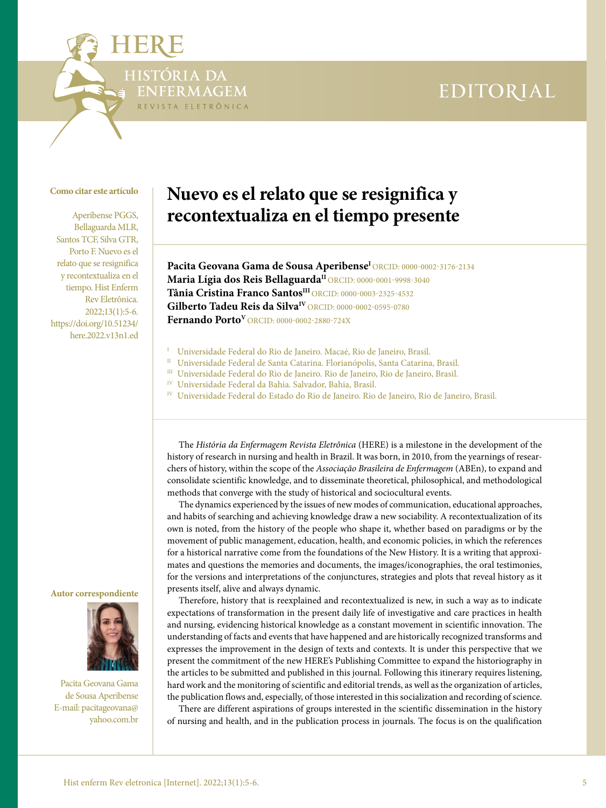# EDITORIAL

### **Como citar este artículo**

STÓRIA DA

FERMAGEM REVISTA ELETRÔNICA

Aperibense PGGS, Bellaguarda MLR, Santos TCF, Silva GTR, Porto F. Nuevo es el relato que se resignifica y recontextualiza en el tiempo. Hist Enferm Rev Eletrônica. 2022;13(1):5-6. [https://doi.org/10.51234/](https://doi.org/10.51234/here.2022.v13n1.ed
) [here.2022.v13n1.ed](https://doi.org/10.51234/here.2022.v13n1.ed
)

## **Nuevo es el relato que se resignifica y recontextualiza en el tiempo presente**

Pacita Geovana Gama de Sousa Aperibense<sup>I</sup> [ORCID: 0000-0002-3176-2134](https://orcid.org/0000-0002-3176-2134) **Maria Lígia dos Reis BellaguardaII** [ORCID: 0000-0001-9998-3040](https://orcid.org/0000-0001-9998-3040) **Tânia Cristina Franco SantosIII** [ORCID: 0000-0003-2325-4532](https://orcid.org/0000-0003-2325-4532) Gilberto Tadeu Reis da Silva<sup>IV</sup> [ORCID: 0000-0002-0595-0780](https://orcid.org/0000-0002-0595-0780) **Fernando PortoV** [ORCID: 0000-0002-2880-724X](https://orcid.org/0000-0002-2880-724X)

- 
- <sup>I</sup> Universidade Federal do Rio de Janeiro. Macaé, Rio de Janeiro, Brasil.<br><sup>II</sup> Universidade Federal de Santa Catarina. Florianópolis, Santa Catarina, Brasil.
- III Universidade Federal do Rio de Janeiro. Rio de Janeiro, Rio de Janeiro, Brasil.
- IV Universidade Federal da Bahia. Salvador, Bahia, Brasil.
- <sup>IV</sup> Universidade Federal do Estado do Rio de Janeiro. Rio de Janeiro, Rio de Janeiro, Brasil.

The *História da Enfermagem Revista Eletrônica* (HERE) is a milestone in the development of the history of research in nursing and health in Brazil. It was born, in 2010, from the yearnings of researchers of history, within the scope of the *Associação Brasileira de Enfermagem* (ABEn), to expand and consolidate scientific knowledge, and to disseminate theoretical, philosophical, and methodological methods that converge with the study of historical and sociocultural events.

The dynamics experienced by the issues of new modes of communication, educational approaches, and habits of searching and achieving knowledge draw a new sociability. A recontextualization of its own is noted, from the history of the people who shape it, whether based on paradigms or by the movement of public management, education, health, and economic policies, in which the references for a historical narrative come from the foundations of the New History. It is a writing that approximates and questions the memories and documents, the images/iconographies, the oral testimonies, for the versions and interpretations of the conjunctures, strategies and plots that reveal history as it presents itself, alive and always dynamic.

Therefore, history that is reexplained and recontextualized is new, in such a way as to indicate expectations of transformation in the present daily life of investigative and care practices in health and nursing, evidencing historical knowledge as a constant movement in scientific innovation. The understanding of facts and events that have happened and are historically recognized transforms and expresses the improvement in the design of texts and contexts. It is under this perspective that we present the commitment of the new HERE's Publishing Committee to expand the historiography in the articles to be submitted and published in this journal. Following this itinerary requires listening, hard work and the monitoring of scientific and editorial trends, as well as the organization of articles, the publication flows and, especially, of those interested in this socialization and recording of science.

There are different aspirations of groups interested in the scientific dissemination in the history of nursing and health, and in the publication process in journals. The focus is on the qualification

#### **Autor correspondiente**



Pacita Geovana Gama de Sousa Aperibense E-mail: [pacitageovana@](mailto:pacitageovana@yahoo.com.br) [yahoo.com.br](mailto:pacitageovana@yahoo.com.br)